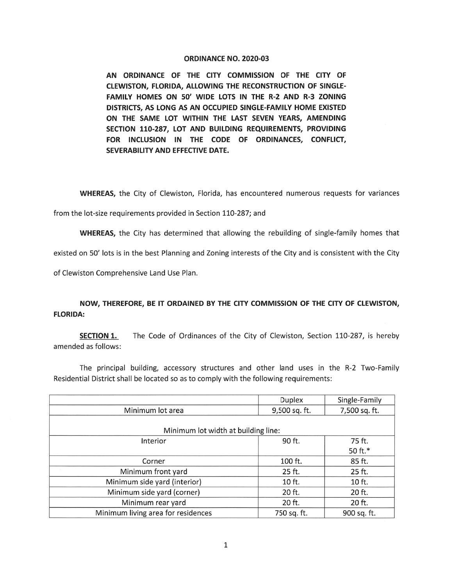## ORDINANCE NO. 2020-03

AN ORDINANCE OF THE CITY COMMISSION OF THE CITY OF CLEWISTON, FLORIDA, ALLOWING THE RECONSTRUCTION OF SINGLE-FAMILY HOMES ON 50' WIDE LOTS IN THE R-2 AND R-3 ZONING DISTRICTS, AS LONG AS AN OCCUPIED SINGLE-FAMILY HOME EXISTED ON THE SAME LOT WITHIN THE LAST SEVEN YEARS, AMENDING SECTION 110-287, LOT AND BUILDING REQUIREMENTS, PROVIDING FOR INCLUSION IN THE CODE OF ORDINANCES, CONFLICT, SEVERABILITY AND EFFECTIVE DATE.

WHEREAS, the City of Clewiston, Florida, has encountered numerous requests for variances

from the lot-size requirements provided in Section 110-287; and

WHEREAS, the City has determined that allowing the rebuilding of single-family homes that

existed on 50' lots is in the best Planning and Zoning interests of the City and is consistent with the City

of Clewiston Comprehensive Land Use Plan.

## NOW, THEREFORE, BE IT ORDAINED BY THE CITY COMMISSION OF THE CITY OF CLEWISTON, FLORIDA:

SECTION 1. The Code of Ordinances of the City of Clewiston, Section 110-287, is hereby amended as follows:

The principal building, accessory structures and other land uses in the R-2 Two-Family Residential District shall be located so as to comply with the following requirements:

|                                     | <b>Duplex</b> | Single-Family |  |
|-------------------------------------|---------------|---------------|--|
| Minimum lot area                    | 9,500 sq. ft. | 7,500 sq. ft. |  |
|                                     |               |               |  |
| Minimum lot width at building line: |               |               |  |
| Interior                            | 90 ft.        | 75 ft.        |  |
|                                     |               | 50 ft.*       |  |
| Corner                              | 100 ft.       | 85 ft.        |  |
| Minimum front yard                  | 25 ft.        | 25 ft.        |  |
| Minimum side yard (interior)        | 10 ft.        | 10 ft.        |  |
| Minimum side yard (corner)          | 20 ft.        | 20 ft.        |  |
| Minimum rear yard                   | 20 ft.        | 20 ft.        |  |
| Minimum living area for residences  | 750 sq. ft.   | 900 sq. ft.   |  |